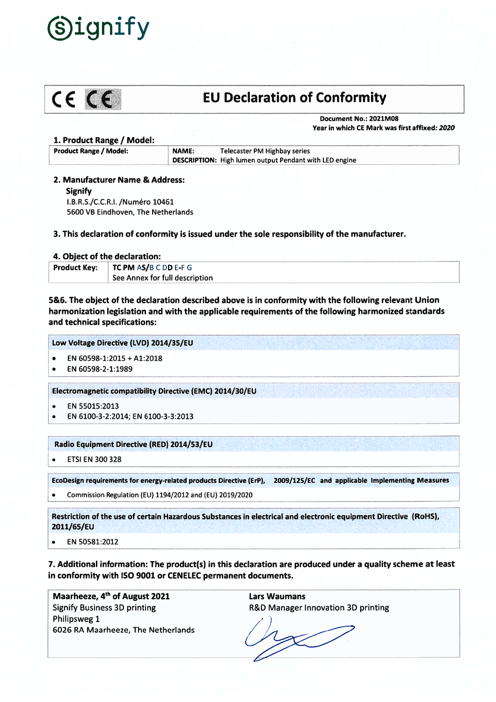



# $C \in \mathbb{C}$  EU Declaration of Conformity

Document No.: 2021M08 Year in which CE Mark was first affixed: 2020

#### 1. Product Range / Model:

Product Range / Model: NAME: Telecaster PM Highbay series DESCRIPTION: High lumen output Pendant with LED engine

2. Manufacturer Name & Address:

Signify I.B.R.S./C.C.R.I. /Numéro 10461 5600 VB Eindhoven, The Netherlands

3. This declaration of conformity is issued under the sole responsibility of the manufacturer.

## 4. Object of the declaration:

| <b>Product Key:</b> | TC PM AS/B C DD E-F G          |  |
|---------------------|--------------------------------|--|
|                     | See Annex for full description |  |

5&6. The object of the declaration described above is in conformity with the following relevant Union harmonization legislation and with the applicable requirements of the following harmonized standards and technical specifications:

Low Voltage Directive (LVD) 2014/35/EU

- •EN 60598-1:2015 <sup>+</sup> A1:2018
- •EN 60598-2-1:1989

Electromagnetic compatibility Directive (EMC) 2014/30/EU

- . EN 55015:2013
- . EN 6100-3-2:2014; EN 6100-3-3:2013

## Radio Equipment Directive (RED) 2014/53/EU

ETSI EN 300 328

EcoDesign requirements for energy-related products Directive (ErP), 2009/125/Ec and applicable Implementing Measures

. Commission Regulation (EU) 1194/2012 and (EU) 2019/2020

Restriction of the use of certain Hazardous Substances in electrical and electronic equipment Directive (R0HS), 2011/65/EU

EN 50581:2012  $\bullet$ 

7. Additional information: The product(s) in this declaration are produced under <sup>a</sup> quality scheme at least in conformity with ISO 9001 or CENELEC permanen<sup>t</sup> documents.

Maarheeze, 4<sup>th</sup> of August 2021 Signify Business 3D printing Philipsweg 1 6026 RA Maarheeze, The Netherlands Lars Waumans R&D Manager Innovation 3D printing

 $\vee$